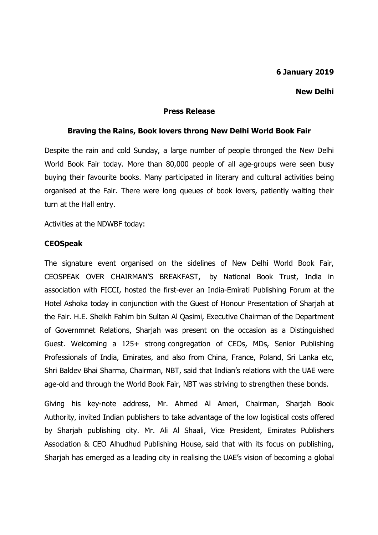## **6 January 2019**

### **New Delhi**

#### **Press Release**

#### **Braving the Rains, Book lovers throng New Delhi World Book Fair**

Despite the rain and cold Sunday, a large number of people thronged the New Delhi World Book Fair today. More than 80,000 people of all age-groups were seen busy buying their favourite books. Many participated in literary and cultural activities being organised at the Fair. There were long queues of book lovers, patiently waiting their turn at the Hall entry.

Activities at the NDWBF today:

### **CEOSpeak**

The signature event organised on the sidelines of New Delhi World Book Fair, CEOSPEAK OVER CHAIRMAN'S BREAKFAST, by National Book Trust, India in association with FICCI, hosted the first-ever an India-Emirati Publishing Forum at the Hotel Ashoka today in conjunction with the Guest of Honour Presentation of Sharjah at the Fair. H.E. Sheikh Fahim bin Sultan Al Qasimi, Executive Chairman of the Department of Governmnet Relations, Sharjah was present on the occasion as a Distinguished Guest. Welcoming a 125+ strong congregation of CEOs, MDs, Senior Publishing Professionals of India, Emirates, and also from China, France, Poland, Sri Lanka etc, Shri Baldev Bhai Sharma, Chairman, NBT, said that Indian's relations with the UAE were age-old and through the World Book Fair, NBT was striving to strengthen these bonds.

Giving his key-note address, Mr. Ahmed Al Ameri, Chairman, Sharjah Book Authority, invited Indian publishers to take advantage of the low logistical costs offered by Sharjah publishing city. Mr. Ali Al Shaali, Vice President, Emirates Publishers Association & CEO Alhudhud Publishing House, said that with its focus on publishing, Sharjah has emerged as a leading city in realising the UAE's vision of becoming a global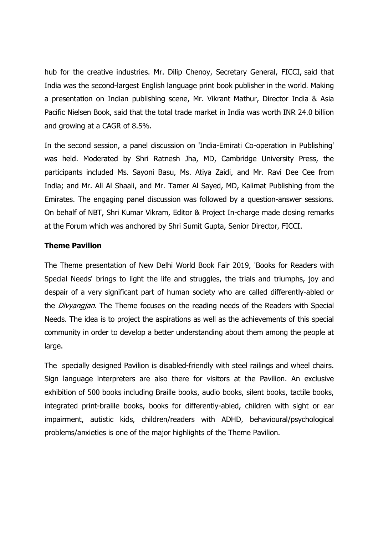hub for the creative industries. Mr. Dilip Chenoy, Secretary General, FICCI, said that India was the second-largest English language print book publisher in the world. Making a presentation on Indian publishing scene, Mr. Vikrant Mathur, Director India & Asia Pacific Nielsen Book, said that the total trade market in India was worth INR 24.0 billion and growing at a CAGR of 8.5%.

In the second session, a panel discussion on 'India-Emirati Co-operation in Publishing' was held. Moderated by Shri Ratnesh Jha, MD, Cambridge University Press, the participants included Ms. Sayoni Basu, Ms. Atiya Zaidi, and Mr. Ravi Dee Cee from India; and Mr. Ali Al Shaali, and Mr. Tamer Al Sayed, MD, Kalimat Publishing from the Emirates. The engaging panel discussion was followed by a question-answer sessions. On behalf of NBT, Shri Kumar Vikram, Editor & Project In-charge made closing remarks at the Forum which was anchored by Shri Sumit Gupta, Senior Director, FICCI.

# **Theme Pavilion**

The Theme presentation of New Delhi World Book Fair 2019, 'Books for Readers with Special Needs' brings to light the life and struggles, the trials and triumphs, joy and despair of a very significant part of human society who are called differently-abled or the *Divyangjan*. The Theme focuses on the reading needs of the Readers with Special Needs. The idea is to project the aspirations as well as the achievements of this special community in order to develop a better understanding about them among the people at large.

The specially designed Pavilion is disabled-friendly with steel railings and wheel chairs. Sign language interpreters are also there for visitors at the Pavilion. An exclusive exhibition of 500 books including Braille books, audio books, silent books, tactile books, integrated print-braille books, books for differently-abled, children with sight or ear impairment, autistic kids, children/readers with ADHD, behavioural/psychological problems/anxieties is one of the major highlights of the Theme Pavilion.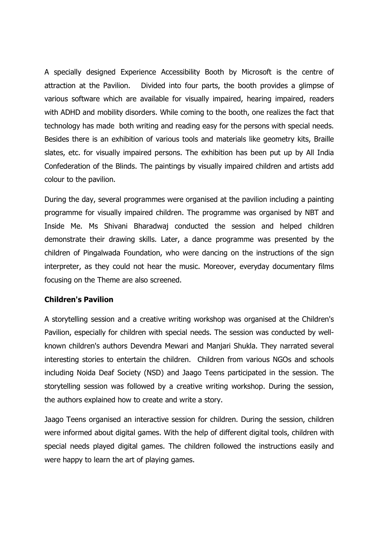A specially designed Experience Accessibility Booth by Microsoft is the centre of attraction at the Pavilion. Divided into four parts, the booth provides a glimpse of various software which are available for visually impaired, hearing impaired, readers with ADHD and mobility disorders. While coming to the booth, one realizes the fact that technology has made both writing and reading easy for the persons with special needs. Besides there is an exhibition of various tools and materials like geometry kits, Braille slates, etc. for visually impaired persons. The exhibition has been put up by All India Confederation of the Blinds. The paintings by visually impaired children and artists add colour to the pavilion.

During the day, several programmes were organised at the pavilion including a painting programme for visually impaired children. The programme was organised by NBT and Inside Me. Ms Shivani Bharadwaj conducted the session and helped children demonstrate their drawing skills. Later, a dance programme was presented by the children of Pingalwada Foundation, who were dancing on the instructions of the sign interpreter, as they could not hear the music. Moreover, everyday documentary films focusing on the Theme are also screened.

### **Children's Pavilion**

A storytelling session and a creative writing workshop was organised at the Children's Pavilion, especially for children with special needs. The session was conducted by wellknown children's authors Devendra Mewari and Manjari Shukla. They narrated several interesting stories to entertain the children. Children from various NGOs and schools including Noida Deaf Society (NSD) and Jaago Teens participated in the session. The storytelling session was followed by a creative writing workshop. During the session, the authors explained how to create and write a story.

Jaago Teens organised an interactive session for children. During the session, children were informed about digital games. With the help of different digital tools, children with special needs played digital games. The children followed the instructions easily and were happy to learn the art of playing games.